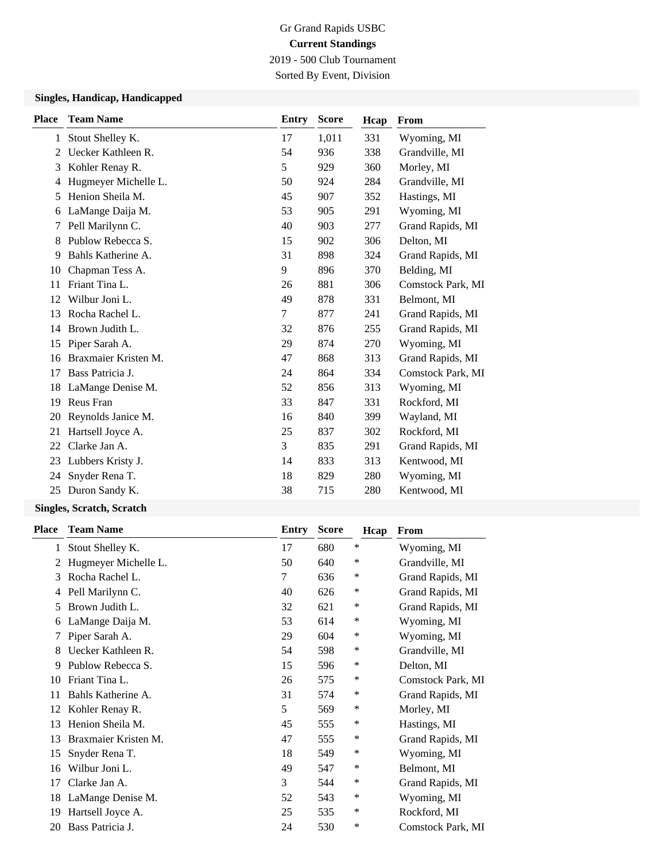# Gr Grand Rapids USBC **Current Standings** 2019 - 500 Club Tournament

Sorted By Event, Division

## **Singles, Handicap, Handicapped**

| <b>Place</b> | <b>Team Name</b>     | <b>Entry</b> | <b>Score</b> | Hcap | From              |
|--------------|----------------------|--------------|--------------|------|-------------------|
| 1            | Stout Shelley K.     | 17           | 1,011        | 331  | Wyoming, MI       |
| 2            | Uecker Kathleen R.   | 54           | 936          | 338  | Grandville, MI    |
| 3            | Kohler Renay R.      | 5            | 929          | 360  | Morley, MI        |
| 4            | Hugmeyer Michelle L. | 50           | 924          | 284  | Grandville, MI    |
| 5            | Henion Sheila M.     | 45           | 907          | 352  | Hastings, MI      |
| 6            | LaMange Daija M.     | 53           | 905          | 291  | Wyoming, MI       |
| 7            | Pell Marilynn C.     | 40           | 903          | 277  | Grand Rapids, MI  |
| 8            | Publow Rebecca S.    | 15           | 902          | 306  | Delton, MI        |
| 9            | Bahls Katherine A.   | 31           | 898          | 324  | Grand Rapids, MI  |
| 10           | Chapman Tess A.      | 9            | 896          | 370  | Belding, MI       |
| 11           | Friant Tina L.       | 26           | 881          | 306  | Comstock Park, MI |
| 12           | Wilbur Joni L.       | 49           | 878          | 331  | Belmont, MI       |
| 13           | Rocha Rachel L.      | 7            | 877          | 241  | Grand Rapids, MI  |
| 14           | Brown Judith L.      | 32           | 876          | 255  | Grand Rapids, MI  |
| 15           | Piper Sarah A.       | 29           | 874          | 270  | Wyoming, MI       |
| 16           | Braxmaier Kristen M. | 47           | 868          | 313  | Grand Rapids, MI  |
| 17           | Bass Patricia J.     | 24           | 864          | 334  | Comstock Park, MI |
| 18           | LaMange Denise M.    | 52           | 856          | 313  | Wyoming, MI       |
| 19           | Reus Fran            | 33           | 847          | 331  | Rockford, MI      |
| 20           | Reynolds Janice M.   | 16           | 840          | 399  | Wayland, MI       |
| 21           | Hartsell Joyce A.    | 25           | 837          | 302  | Rockford, MI      |
| 22           | Clarke Jan A.        | 3            | 835          | 291  | Grand Rapids, MI  |
| 23           | Lubbers Kristy J.    | 14           | 833          | 313  | Kentwood, MI      |
| 24           | Snyder Rena T.       | 18           | 829          | 280  | Wyoming, MI       |
| 25           | Duron Sandy K.       | 38           | 715          | 280  | Kentwood, MI      |

#### **Singles, Scratch, Scratch**

| Place | <b>Team Name</b>     | Entry | <b>Score</b> | Hcap | From              |
|-------|----------------------|-------|--------------|------|-------------------|
| 1     | Stout Shelley K.     | 17    | 680          | ∗    | Wyoming, MI       |
| 2     | Hugmeyer Michelle L. | 50    | 640          | ∗    | Grandville, MI    |
| 3     | Rocha Rachel L.      | 7     | 636          | ∗    | Grand Rapids, MI  |
| 4     | Pell Marilynn C.     | 40    | 626          | ∗    | Grand Rapids, MI  |
| 5     | Brown Judith L.      | 32    | 621          | ∗    | Grand Rapids, MI  |
| 6     | LaMange Daija M.     | 53    | 614          | ∗    | Wyoming, MI       |
|       | Piper Sarah A.       | 29    | 604          | ∗    | Wyoming, MI       |
| 8     | Uecker Kathleen R.   | 54    | 598          | ∗    | Grandville, MI    |
| 9     | Publow Rebecca S.    | 15    | 596          | ∗    | Delton, MI        |
| 10    | Friant Tina L.       | 26    | 575          | ∗    | Comstock Park, MI |
| 11    | Bahls Katherine A.   | 31    | 574          | ∗    | Grand Rapids, MI  |
| 12    | Kohler Renay R.      | 5     | 569          | ∗    | Morley, MI        |
| 13    | Henion Sheila M.     | 45    | 555          | ∗    | Hastings, MI      |
| 13    | Braxmaier Kristen M. | 47    | 555          | ∗    | Grand Rapids, MI  |
| 15    | Snyder Rena T.       | 18    | 549          | ∗    | Wyoming, MI       |
| 16    | Wilbur Joni L.       | 49    | 547          | ∗    | Belmont, MI       |
| 17    | Clarke Jan A.        | 3     | 544          | ∗    | Grand Rapids, MI  |
| 18    | LaMange Denise M.    | 52    | 543          | ∗    | Wyoming, MI       |
| 19    | Hartsell Joyce A.    | 25    | 535          | ∗    | Rockford, MI      |
| 20    | Bass Patricia J.     | 24    | 530          | *    | Comstock Park, MI |